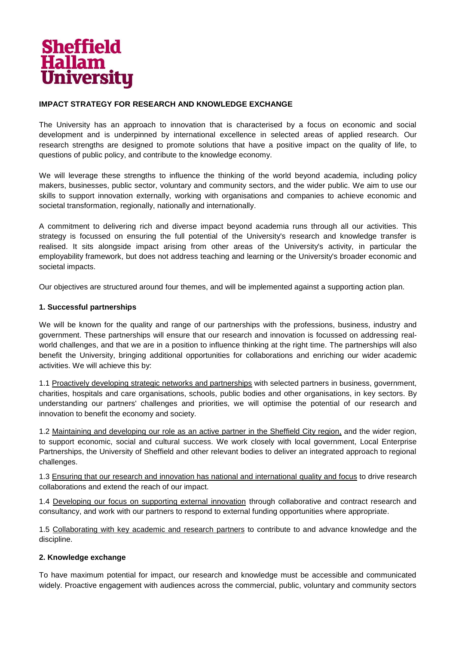

# **IMPACT STRATEGY FOR RESEARCH AND KNOWLEDGE EXCHANGE**

The University has an approach to innovation that is characterised by a focus on economic and social development and is underpinned by international excellence in selected areas of applied research. Our research strengths are designed to promote solutions that have a positive impact on the quality of life, to questions of public policy, and contribute to the knowledge economy.

We will leverage these strengths to influence the thinking of the world beyond academia, including policy makers, businesses, public sector, voluntary and community sectors, and the wider public. We aim to use our skills to support innovation externally, working with organisations and companies to achieve economic and societal transformation, regionally, nationally and internationally.

A commitment to delivering rich and diverse impact beyond academia runs through all our activities. This strategy is focussed on ensuring the full potential of the University's research and knowledge transfer is realised. It sits alongside impact arising from other areas of the University's activity, in particular the employability framework, but does not address teaching and learning or the University's broader economic and societal impacts.

Our objectives are structured around four themes, and will be implemented against a supporting action plan.

### **1. Successful partnerships**

We will be known for the quality and range of our partnerships with the professions, business, industry and government. These partnerships will ensure that our research and innovation is focussed on addressing realworld challenges, and that we are in a position to influence thinking at the right time. The partnerships will also benefit the University, bringing additional opportunities for collaborations and enriching our wider academic activities. We will achieve this by:

1.1 Proactively developing strategic networks and partnerships with selected partners in business, government, charities, hospitals and care organisations, schools, public bodies and other organisations, in key sectors. By understanding our partners' challenges and priorities, we will optimise the potential of our research and innovation to benefit the economy and society.

1.2 Maintaining and developing our role as an active partner in the Sheffield City region, and the wider region, to support economic, social and cultural success. We work closely with local government, Local Enterprise Partnerships, the University of Sheffield and other relevant bodies to deliver an integrated approach to regional challenges.

1.3 Ensuring that our research and innovation has national and international quality and focus to drive research collaborations and extend the reach of our impact.

1.4 Developing our focus on supporting external innovation through collaborative and contract research and consultancy, and work with our partners to respond to external funding opportunities where appropriate.

1.5 Collaborating with key academic and research partners to contribute to and advance knowledge and the discipline.

# **2. Knowledge exchange**

To have maximum potential for impact, our research and knowledge must be accessible and communicated widely. Proactive engagement with audiences across the commercial, public, voluntary and community sectors